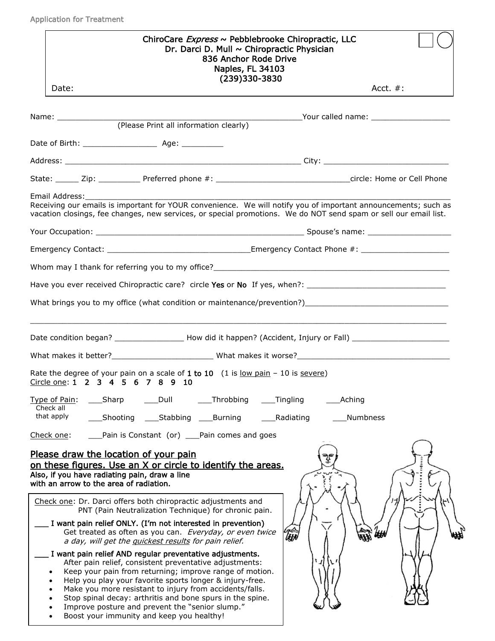| ChiroCare Express ~ Pebblebrooke Chiropractic, LLC<br>Dr. Darci D. Mull ~ Chiropractic Physician<br>836 Anchor Rode Drive<br>Naples, FL 34103<br>(239)330-3830<br>Date:                                                                                                                                                                                                                                                                                                                                                                                                                                                                                                                                                                                                                                                                                                                                        | Acct. $#$ : |
|----------------------------------------------------------------------------------------------------------------------------------------------------------------------------------------------------------------------------------------------------------------------------------------------------------------------------------------------------------------------------------------------------------------------------------------------------------------------------------------------------------------------------------------------------------------------------------------------------------------------------------------------------------------------------------------------------------------------------------------------------------------------------------------------------------------------------------------------------------------------------------------------------------------|-------------|
|                                                                                                                                                                                                                                                                                                                                                                                                                                                                                                                                                                                                                                                                                                                                                                                                                                                                                                                |             |
| (Please Print all information clearly)                                                                                                                                                                                                                                                                                                                                                                                                                                                                                                                                                                                                                                                                                                                                                                                                                                                                         |             |
|                                                                                                                                                                                                                                                                                                                                                                                                                                                                                                                                                                                                                                                                                                                                                                                                                                                                                                                |             |
|                                                                                                                                                                                                                                                                                                                                                                                                                                                                                                                                                                                                                                                                                                                                                                                                                                                                                                                |             |
|                                                                                                                                                                                                                                                                                                                                                                                                                                                                                                                                                                                                                                                                                                                                                                                                                                                                                                                |             |
| Email Address:<br>Receiving our emails is important for YOUR convenience. We will notify you of important announcements; such as<br>vacation closings, fee changes, new services, or special promotions. We do NOT send spam or sell our email list.<br>Your Occupation: Note that the set of the set of the set of the set of the set of the set of the set of the set of the set of the set of the set of the set of the set of the set of the set of the set of the set of the set                                                                                                                                                                                                                                                                                                                                                                                                                          |             |
|                                                                                                                                                                                                                                                                                                                                                                                                                                                                                                                                                                                                                                                                                                                                                                                                                                                                                                                |             |
|                                                                                                                                                                                                                                                                                                                                                                                                                                                                                                                                                                                                                                                                                                                                                                                                                                                                                                                |             |
|                                                                                                                                                                                                                                                                                                                                                                                                                                                                                                                                                                                                                                                                                                                                                                                                                                                                                                                |             |
|                                                                                                                                                                                                                                                                                                                                                                                                                                                                                                                                                                                                                                                                                                                                                                                                                                                                                                                |             |
| Rate the degree of your pain on a scale of 1 to 10 $(1 \text{ is } \frac{low \text{ pain}}{1} - 10 \text{ is } \frac{severe}{1})$<br>Circle one: 1 2 3 4 5 6 7 8 9 10<br>Type of Pain:<br>Dull<br>Throbbing<br>Tingling<br>_Sharp                                                                                                                                                                                                                                                                                                                                                                                                                                                                                                                                                                                                                                                                              | Aching      |
| Check all<br>that apply<br>Stabbing<br>Shooting<br>Burning<br>Radiating                                                                                                                                                                                                                                                                                                                                                                                                                                                                                                                                                                                                                                                                                                                                                                                                                                        | Numbness    |
| Pain is Constant (or) ___Pain comes and goes<br>Check one:                                                                                                                                                                                                                                                                                                                                                                                                                                                                                                                                                                                                                                                                                                                                                                                                                                                     |             |
| Please draw the location of your pain<br>on these figures. Use an X or circle to identify the areas.<br>Also, if you have radiating pain, draw a line<br>with an arrow to the area of radiation.<br>Check one: Dr. Darci offers both chiropractic adjustments and<br>PNT (Pain Neutralization Technique) for chronic pain.<br>I want pain relief ONLY. (I'm not interested in prevention)<br>Get treated as often as you can. Everyday, or even twice<br><b>UH</b><br>a day, will get the guickest results for pain relief.<br>I want pain relief AND regular preventative adjustments.<br>After pain relief, consistent preventative adjustments:<br>Keep your pain from returning; improve range of motion.<br>Help you play your favorite sports longer & injury-free.<br>$\bullet$<br>Make you more resistant to injury from accidents/falls.<br>Stop spinal decay: arthritis and bone spurs in the spine. |             |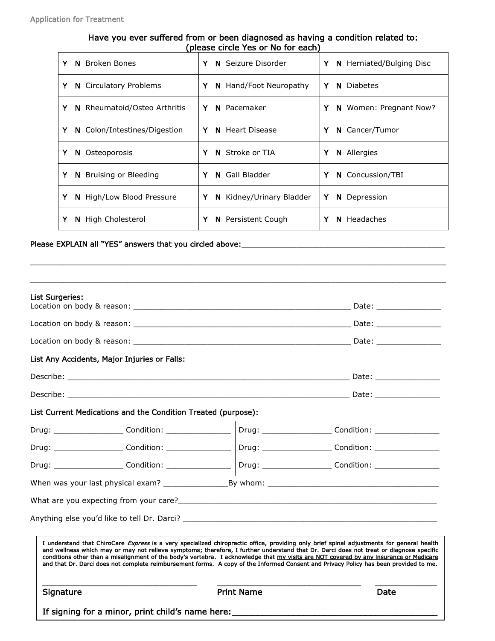### Have you ever suffered from or been diagnosed as having a condition related to: (please circle Yes or No for each)

| <b>Broken Bones</b><br>Y<br>N     | Y<br>N Seizure Disorder       | Y<br>N Herniated/Bulging Disc |
|-----------------------------------|-------------------------------|-------------------------------|
| Y<br>N Circulatory Problems       | Y<br>N Hand/Foot Neuropathy   | Y<br><b>N</b> Diabetes        |
| Y<br>N Rheumatoid/Osteo Arthritis | N Pacemaker<br>Y              | Y<br>N Women: Pregnant Now?   |
| Y<br>N Colon/Intestines/Digestion | Y<br>Heart Disease<br>N.      | Y<br>N Cancer/Tumor           |
| Y<br>Osteoporosis<br>N            | Stroke or TIA<br>Y<br>N.      | Y<br><b>N</b> Allergies       |
| Y<br>Bruising or Bleeding<br>N.   | Gall Bladder<br>Y<br>N        | Y<br>N Concussion/TBI         |
| Y<br>N High/Low Blood Pressure    | Y<br>N Kidney/Urinary Bladder | Y<br>Depression<br>N.         |
| Y<br>N High Cholesterol           | Y<br>Persistent Cough<br>N.   | N Headaches<br>Y              |

 $\_$  ,  $\_$  ,  $\_$  ,  $\_$  ,  $\_$  ,  $\_$  ,  $\_$  ,  $\_$  ,  $\_$  ,  $\_$  ,  $\_$  ,  $\_$  ,  $\_$  ,  $\_$  ,  $\_$  ,  $\_$  ,  $\_$  ,  $\_$  ,  $\_$  ,  $\_$  ,  $\_$  ,  $\_$  ,  $\_$  ,  $\_$  ,  $\_$  ,  $\_$  ,  $\_$  ,  $\_$  ,  $\_$  ,  $\_$  ,  $\_$  ,  $\_$  ,  $\_$  ,  $\_$  ,  $\_$  ,  $\_$  ,  $\_$  ,

\_\_\_\_\_\_\_\_\_\_\_\_\_\_\_\_\_\_\_\_\_\_\_\_\_\_\_\_\_\_\_\_\_\_\_\_\_\_\_\_\_\_\_\_\_\_\_\_\_\_\_\_\_\_\_\_\_\_\_\_\_\_\_\_\_\_\_\_\_\_\_\_\_\_\_\_\_\_\_\_\_\_\_\_\_\_\_\_\_\_

### Please EXPLAIN all "YES" answers that you circled above: \_\_\_\_\_\_\_\_\_\_\_\_\_\_\_\_\_\_\_\_\_\_\_\_

| Signature |                                                               | <b>Print Name</b> | Date                                                                                                                                                                                                                                                                                                                                                                                                                                                                                                                                                                         |
|-----------|---------------------------------------------------------------|-------------------|------------------------------------------------------------------------------------------------------------------------------------------------------------------------------------------------------------------------------------------------------------------------------------------------------------------------------------------------------------------------------------------------------------------------------------------------------------------------------------------------------------------------------------------------------------------------------|
|           |                                                               |                   | I understand that ChiroCare <i>Express</i> is a very specialized chiropractic office, providing only brief spinal adjustments for general health<br>and wellness which may or may not relieve symptoms; therefore, I further understand that Dr. Darci does not treat or diagnose specific<br>conditions other than a misalignment of the body's vertebra. I acknowledge that my visits are NOT covered by any insurance or Medicare<br>and that Dr. Darci does not complete reimbursement forms. A copy of the Informed Consent and Privacy Policy has been provided to me. |
|           |                                                               |                   |                                                                                                                                                                                                                                                                                                                                                                                                                                                                                                                                                                              |
|           |                                                               |                   | What are you expecting from your care? Notice that the contract of the contract of the contract of the contract of the contract of the contract of the contract of the contract of the contract of the contract of the contrac                                                                                                                                                                                                                                                                                                                                               |
|           |                                                               |                   |                                                                                                                                                                                                                                                                                                                                                                                                                                                                                                                                                                              |
|           |                                                               |                   | Drug: _______________________Condition: ______________________________Drug: ______________________Condition: __________________________                                                                                                                                                                                                                                                                                                                                                                                                                                      |
|           |                                                               |                   | Drug: _______________________Condition: _____________________  Drug: ______________________Condition: ______________                                                                                                                                                                                                                                                                                                                                                                                                                                                         |
|           |                                                               |                   | Drug: ______________________Condition: ___________________  Drug: ___________________Condition: ______________                                                                                                                                                                                                                                                                                                                                                                                                                                                               |
|           | List Current Medications and the Condition Treated (purpose): |                   |                                                                                                                                                                                                                                                                                                                                                                                                                                                                                                                                                                              |
|           |                                                               |                   |                                                                                                                                                                                                                                                                                                                                                                                                                                                                                                                                                                              |
|           |                                                               |                   |                                                                                                                                                                                                                                                                                                                                                                                                                                                                                                                                                                              |
|           | List Any Accidents, Major Injuries or Falls:                  |                   |                                                                                                                                                                                                                                                                                                                                                                                                                                                                                                                                                                              |
|           |                                                               |                   |                                                                                                                                                                                                                                                                                                                                                                                                                                                                                                                                                                              |
|           |                                                               |                   |                                                                                                                                                                                                                                                                                                                                                                                                                                                                                                                                                                              |
|           |                                                               |                   |                                                                                                                                                                                                                                                                                                                                                                                                                                                                                                                                                                              |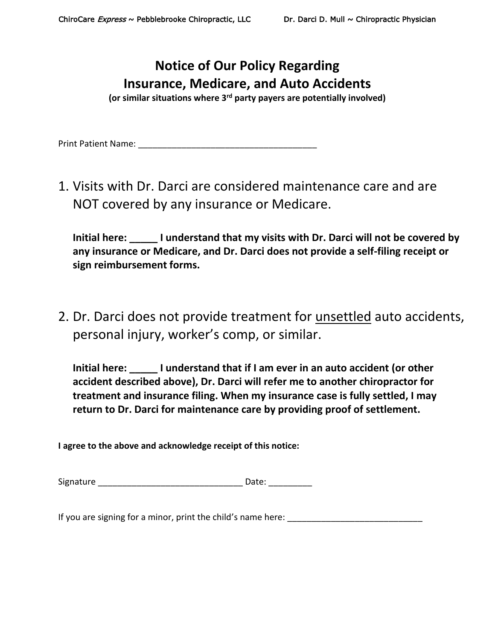# **Notice of Our Policy Regarding Insurance, Medicare, and Auto Accidents**

**(or similar situations where 3rd party payers are potentially involved)**

Print Patient Name: **Example 20** 

1. Visits with Dr. Darci are considered maintenance care and are NOT covered by any insurance or Medicare.

**Initial here: \_\_\_\_\_ I understand that my visits with Dr. Darci will not be covered by any insurance or Medicare, and Dr. Darci does not provide a self-filing receipt or sign reimbursement forms.**

2. Dr. Darci does not provide treatment for unsettled auto accidents, personal injury, worker's comp, or similar.

**Initial here: \_\_\_\_\_ I understand that if I am ever in an auto accident (or other accident described above), Dr. Darci will refer me to another chiropractor for treatment and insurance filing. When my insurance case is fully settled, I may return to Dr. Darci for maintenance care by providing proof of settlement.**

**I agree to the above and acknowledge receipt of this notice:**

Signature **Example 20** and the set of the Date:

If you are signing for a minor, print the child's name here: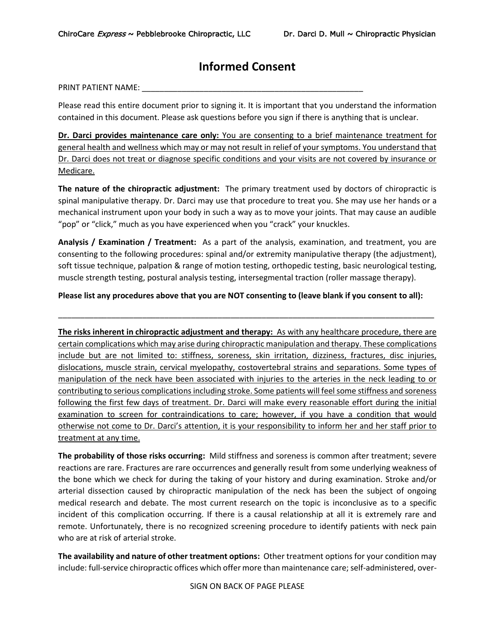## **Informed Consent**

PRINT PATIENT NAME: \_\_\_\_\_\_\_\_\_\_\_\_\_\_\_\_\_\_\_\_\_\_\_\_\_\_\_\_\_\_\_\_\_\_\_\_\_\_\_\_\_\_\_\_\_\_\_\_\_\_

Please read this entire document prior to signing it. It is important that you understand the information contained in this document. Please ask questions before you sign if there is anything that is unclear.

**Dr. Darci provides maintenance care only:** You are consenting to a brief maintenance treatment for general health and wellness which may or may not result in relief of your symptoms. You understand that Dr. Darci does not treat or diagnose specific conditions and your visits are not covered by insurance or Medicare.

**The nature of the chiropractic adjustment:** The primary treatment used by doctors of chiropractic is spinal manipulative therapy. Dr. Darci may use that procedure to treat you. She may use her hands or a mechanical instrument upon your body in such a way as to move your joints. That may cause an audible "pop" or "click," much as you have experienced when you "crack" your knuckles.

**Analysis / Examination / Treatment:** As a part of the analysis, examination, and treatment, you are consenting to the following procedures: spinal and/or extremity manipulative therapy (the adjustment), soft tissue technique, palpation & range of motion testing, orthopedic testing, basic neurological testing, muscle strength testing, postural analysis testing, intersegmental traction (roller massage therapy).

**Please list any procedures above that you are NOT consenting to (leave blank if you consent to all):**

\_\_\_\_\_\_\_\_\_\_\_\_\_\_\_\_\_\_\_\_\_\_\_\_\_\_\_\_\_\_\_\_\_\_\_\_\_\_\_\_\_\_\_\_\_\_\_\_\_\_\_\_\_\_\_\_\_\_\_\_\_\_\_\_\_\_\_\_\_\_\_\_\_\_\_\_\_\_\_\_\_\_\_\_\_

**The risks inherent in chiropractic adjustment and therapy:** As with any healthcare procedure, there are certain complications which may arise during chiropractic manipulation and therapy. These complications include but are not limited to: stiffness, soreness, skin irritation, dizziness, fractures, disc injuries, dislocations, muscle strain, cervical myelopathy, costovertebral strains and separations. Some types of manipulation of the neck have been associated with injuries to the arteries in the neck leading to or contributing to serious complications including stroke. Some patients will feel some stiffness and soreness following the first few days of treatment. Dr. Darci will make every reasonable effort during the initial examination to screen for contraindications to care; however, if you have a condition that would otherwise not come to Dr. Darci's attention, it is your responsibility to inform her and her staff prior to treatment at any time.

**The probability of those risks occurring:** Mild stiffness and soreness is common after treatment; severe reactions are rare. Fractures are rare occurrences and generally result from some underlying weakness of the bone which we check for during the taking of your history and during examination. Stroke and/or arterial dissection caused by chiropractic manipulation of the neck has been the subject of ongoing medical research and debate. The most current research on the topic is inconclusive as to a specific incident of this complication occurring. If there is a causal relationship at all it is extremely rare and remote. Unfortunately, there is no recognized screening procedure to identify patients with neck pain who are at risk of arterial stroke.

**The availability and nature of other treatment options:** Other treatment options for your condition may include: full-service chiropractic offices which offer more than maintenance care; self-administered, over-

SIGN ON BACK OF PAGE PLEASE